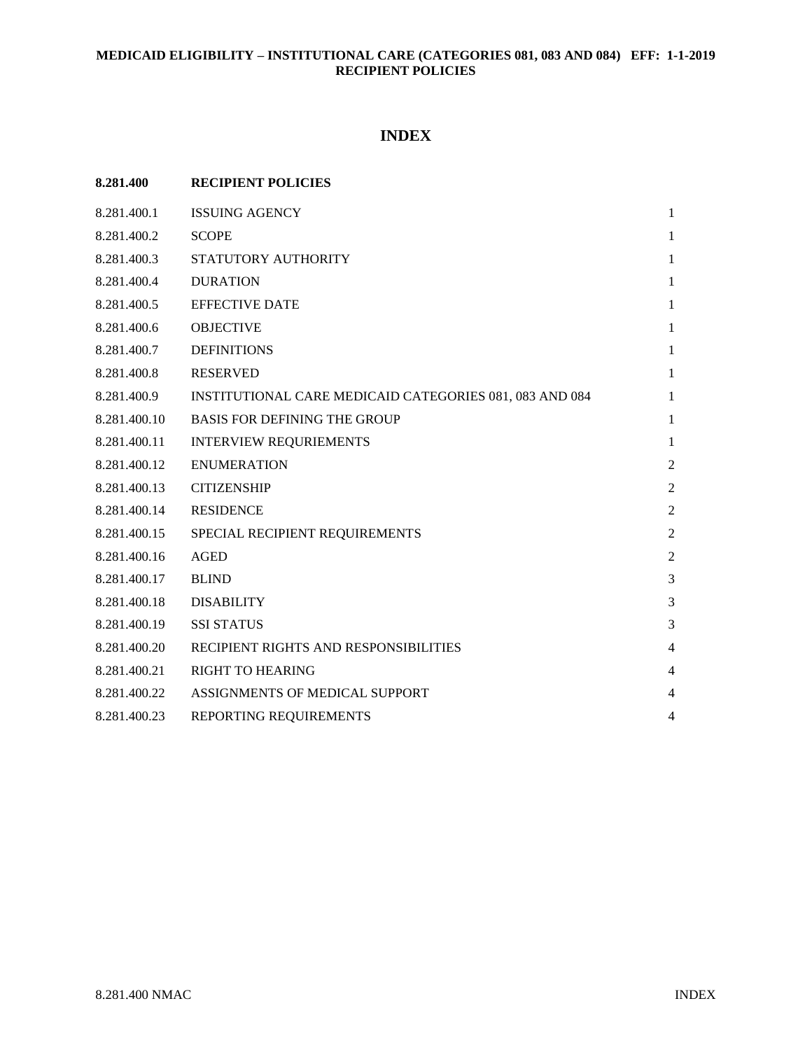# **INDEX**

| 8.281.400    | <b>RECIPIENT POLICIES</b>                               |                |
|--------------|---------------------------------------------------------|----------------|
| 8.281.400.1  | <b>ISSUING AGENCY</b>                                   | $\mathbf{1}$   |
| 8.281.400.2  | <b>SCOPE</b>                                            | $\mathbf{1}$   |
| 8.281.400.3  | STATUTORY AUTHORITY                                     | $\mathbf{1}$   |
| 8.281.400.4  | <b>DURATION</b>                                         | $\mathbf{1}$   |
| 8.281.400.5  | <b>EFFECTIVE DATE</b>                                   | $\mathbf{1}$   |
| 8.281.400.6  | <b>OBJECTIVE</b>                                        | $\mathbf{1}$   |
| 8.281.400.7  | <b>DEFINITIONS</b>                                      | $\mathbf{1}$   |
| 8.281.400.8  | <b>RESERVED</b>                                         | $\mathbf{1}$   |
| 8.281.400.9  | INSTITUTIONAL CARE MEDICAID CATEGORIES 081, 083 AND 084 | $\mathbf{1}$   |
| 8.281.400.10 | <b>BASIS FOR DEFINING THE GROUP</b>                     | $\mathbf{1}$   |
| 8.281.400.11 | <b>INTERVIEW REQURIEMENTS</b>                           | $\mathbf{1}$   |
| 8.281.400.12 | <b>ENUMERATION</b>                                      | $\overline{2}$ |
| 8.281.400.13 | <b>CITIZENSHIP</b>                                      | $\overline{2}$ |
| 8.281.400.14 | <b>RESIDENCE</b>                                        | $\overline{2}$ |
| 8.281.400.15 | SPECIAL RECIPIENT REQUIREMENTS                          | $\overline{2}$ |
| 8.281.400.16 | <b>AGED</b>                                             | $\overline{2}$ |
| 8.281.400.17 | <b>BLIND</b>                                            | 3              |
| 8.281.400.18 | <b>DISABILITY</b>                                       | 3              |
| 8.281.400.19 | <b>SSI STATUS</b>                                       | 3              |
| 8.281.400.20 | RECIPIENT RIGHTS AND RESPONSIBILITIES                   | $\overline{4}$ |
| 8.281.400.21 | <b>RIGHT TO HEARING</b>                                 | $\overline{4}$ |
| 8.281.400.22 | ASSIGNMENTS OF MEDICAL SUPPORT                          | $\overline{4}$ |
| 8.281.400.23 | REPORTING REQUIREMENTS                                  | $\overline{4}$ |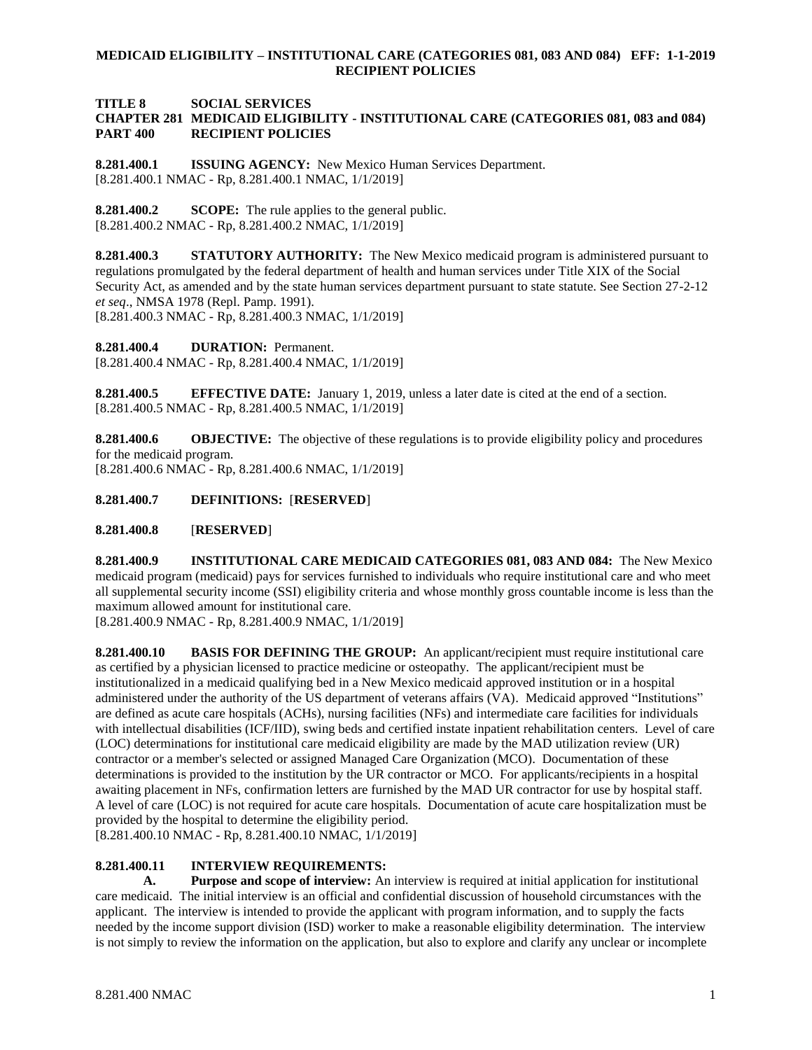**TITLE 8 SOCIAL SERVICES**

#### **CHAPTER 281 MEDICAID ELIGIBILITY - INSTITUTIONAL CARE (CATEGORIES 081, 083 and 084) PART 400 RECIPIENT POLICIES**

<span id="page-1-0"></span>**8.281.400.1 ISSUING AGENCY:** New Mexico Human Services Department. [8.281.400.1 NMAC - Rp, 8.281.400.1 NMAC, 1/1/2019]

<span id="page-1-1"></span>**8.281.400.2 SCOPE:** The rule applies to the general public. [8.281.400.2 NMAC - Rp, 8.281.400.2 NMAC, 1/1/2019]

<span id="page-1-2"></span>**8.281.400.3 STATUTORY AUTHORITY:** The New Mexico medicaid program is administered pursuant to regulations promulgated by the federal department of health and human services under Title XIX of the Social Security Act, as amended and by the state human services department pursuant to state statute. See Section 27-2-12 *et seq*., NMSA 1978 (Repl. Pamp. 1991). [8.281.400.3 NMAC - Rp, 8.281.400.3 NMAC, 1/1/2019]

<span id="page-1-3"></span>**8.281.400.4 DURATION:** Permanent. [8.281.400.4 NMAC - Rp, 8.281.400.4 NMAC, 1/1/2019]

<span id="page-1-4"></span>**8.281.400.5 EFFECTIVE DATE:** January 1, 2019, unless a later date is cited at the end of a section. [8.281.400.5 NMAC - Rp, 8.281.400.5 NMAC, 1/1/2019]

<span id="page-1-5"></span>**8.281.400.6 OBJECTIVE:** The objective of these regulations is to provide eligibility policy and procedures for the medicaid program. [8.281.400.6 NMAC - Rp, 8.281.400.6 NMAC, 1/1/2019]

<span id="page-1-6"></span>**8.281.400.7 DEFINITIONS:** [**RESERVED**]

<span id="page-1-7"></span>**8.281.400.8** [**RESERVED**]

<span id="page-1-8"></span>**8.281.400.9 INSTITUTIONAL CARE MEDICAID CATEGORIES 081, 083 AND 084:** The New Mexico medicaid program (medicaid) pays for services furnished to individuals who require institutional care and who meet all supplemental security income (SSI) eligibility criteria and whose monthly gross countable income is less than the maximum allowed amount for institutional care.

[8.281.400.9 NMAC - Rp, 8.281.400.9 NMAC, 1/1/2019]

<span id="page-1-9"></span>**8.281.400.10 BASIS FOR DEFINING THE GROUP:** An applicant/recipient must require institutional care as certified by a physician licensed to practice medicine or osteopathy. The applicant/recipient must be institutionalized in a medicaid qualifying bed in a New Mexico medicaid approved institution or in a hospital administered under the authority of the US department of veterans affairs (VA). Medicaid approved "Institutions" are defined as acute care hospitals (ACHs), nursing facilities (NFs) and intermediate care facilities for individuals with intellectual disabilities (ICF/IID), swing beds and certified instate inpatient rehabilitation centers. Level of care (LOC) determinations for institutional care medicaid eligibility are made by the MAD utilization review (UR) contractor or a member's selected or assigned Managed Care Organization (MCO). Documentation of these determinations is provided to the institution by the UR contractor or MCO. For applicants/recipients in a hospital awaiting placement in NFs, confirmation letters are furnished by the MAD UR contractor for use by hospital staff. A level of care (LOC) is not required for acute care hospitals. Documentation of acute care hospitalization must be provided by the hospital to determine the eligibility period.

[8.281.400.10 NMAC - Rp, 8.281.400.10 NMAC, 1/1/2019]

#### <span id="page-1-10"></span>**8.281.400.11 INTERVIEW REQUIREMENTS:**

**A. Purpose and scope of interview:** An interview is required at initial application for institutional care medicaid. The initial interview is an official and confidential discussion of household circumstances with the applicant. The interview is intended to provide the applicant with program information, and to supply the facts needed by the income support division (ISD) worker to make a reasonable eligibility determination. The interview is not simply to review the information on the application, but also to explore and clarify any unclear or incomplete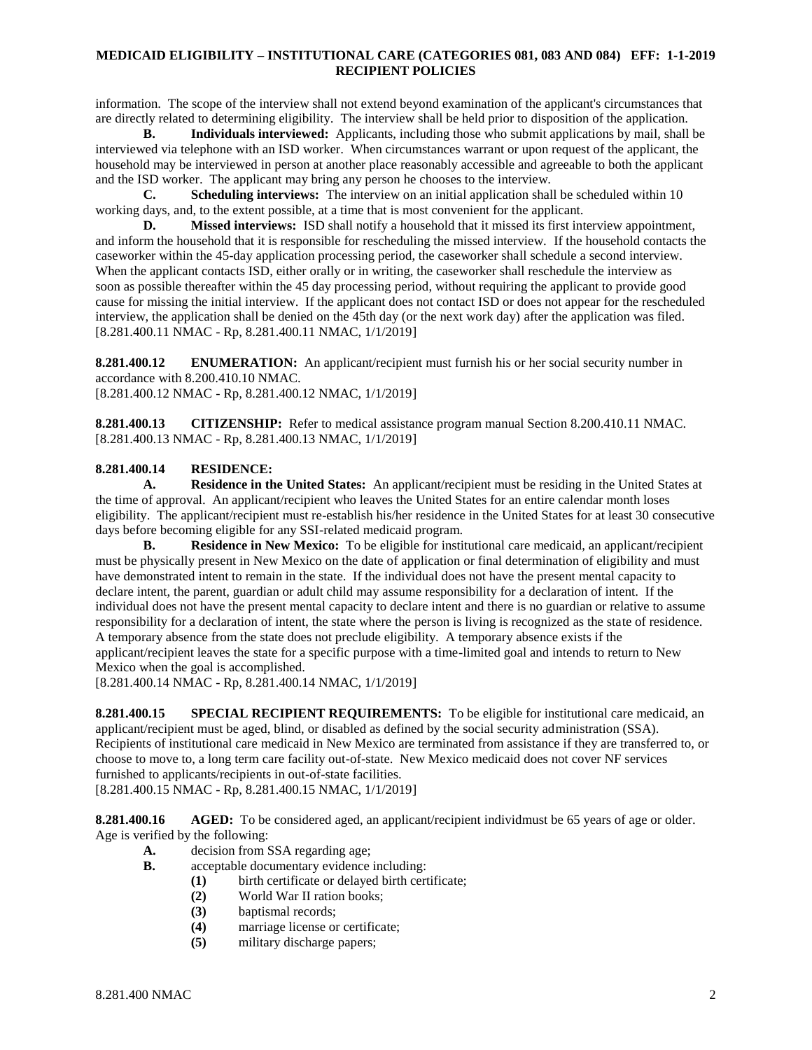information. The scope of the interview shall not extend beyond examination of the applicant's circumstances that are directly related to determining eligibility. The interview shall be held prior to disposition of the application.

**B. Individuals interviewed:** Applicants, including those who submit applications by mail, shall be interviewed via telephone with an ISD worker. When circumstances warrant or upon request of the applicant, the household may be interviewed in person at another place reasonably accessible and agreeable to both the applicant and the ISD worker. The applicant may bring any person he chooses to the interview.

**C. Scheduling interviews:** The interview on an initial application shall be scheduled within 10 working days, and, to the extent possible, at a time that is most convenient for the applicant.

**D. Missed interviews:** ISD shall notify a household that it missed its first interview appointment, and inform the household that it is responsible for rescheduling the missed interview. If the household contacts the caseworker within the 45-day application processing period, the caseworker shall schedule a second interview. When the applicant contacts ISD, either orally or in writing, the caseworker shall reschedule the interview as soon as possible thereafter within the 45 day processing period, without requiring the applicant to provide good cause for missing the initial interview. If the applicant does not contact ISD or does not appear for the rescheduled interview, the application shall be denied on the 45th day (or the next work day) after the application was filed. [8.281.400.11 NMAC - Rp, 8.281.400.11 NMAC, 1/1/2019]

<span id="page-2-0"></span>**8.281.400.12 ENUMERATION:** An applicant/recipient must furnish his or her social security number in accordance with 8.200.410.10 NMAC. [8.281.400.12 NMAC - Rp, 8.281.400.12 NMAC, 1/1/2019]

<span id="page-2-1"></span>**8.281.400.13 CITIZENSHIP:** Refer to medical assistance program manual Section 8.200.410.11 NMAC. [8.281.400.13 NMAC - Rp, 8.281.400.13 NMAC, 1/1/2019]

#### <span id="page-2-2"></span>**8.281.400.14 RESIDENCE:**

**A. Residence in the United States:** An applicant/recipient must be residing in the United States at the time of approval. An applicant/recipient who leaves the United States for an entire calendar month loses eligibility. The applicant/recipient must re-establish his/her residence in the United States for at least 30 consecutive days before becoming eligible for any SSI-related medicaid program.

**B. Residence in New Mexico:** To be eligible for institutional care medicaid, an applicant/recipient must be physically present in New Mexico on the date of application or final determination of eligibility and must have demonstrated intent to remain in the state. If the individual does not have the present mental capacity to declare intent, the parent, guardian or adult child may assume responsibility for a declaration of intent. If the individual does not have the present mental capacity to declare intent and there is no guardian or relative to assume responsibility for a declaration of intent, the state where the person is living is recognized as the state of residence. A temporary absence from the state does not preclude eligibility. A temporary absence exists if the applicant/recipient leaves the state for a specific purpose with a time-limited goal and intends to return to New Mexico when the goal is accomplished.

[8.281.400.14 NMAC - Rp, 8.281.400.14 NMAC, 1/1/2019]

<span id="page-2-3"></span>**8.281.400.15 SPECIAL RECIPIENT REQUIREMENTS:** To be eligible for institutional care medicaid, an applicant/recipient must be aged, blind, or disabled as defined by the social security administration (SSA). Recipients of institutional care medicaid in New Mexico are terminated from assistance if they are transferred to, or choose to move to, a long term care facility out-of-state. New Mexico medicaid does not cover NF services furnished to applicants/recipients in out-of-state facilities.

[8.281.400.15 NMAC - Rp, 8.281.400.15 NMAC, 1/1/2019]

<span id="page-2-4"></span>**8.281.400.16 AGED:** To be considered aged, an applicant/recipient individmust be 65 years of age or older. Age is verified by the following:

- **A.** decision from SSA regarding age;
- **B.** acceptable documentary evidence including:
	- **(1)** birth certificate or delayed birth certificate;
	- **(2)** World War II ration books;
	- **(3)** baptismal records;
	- **(4)** marriage license or certificate;
	- **(5)** military discharge papers;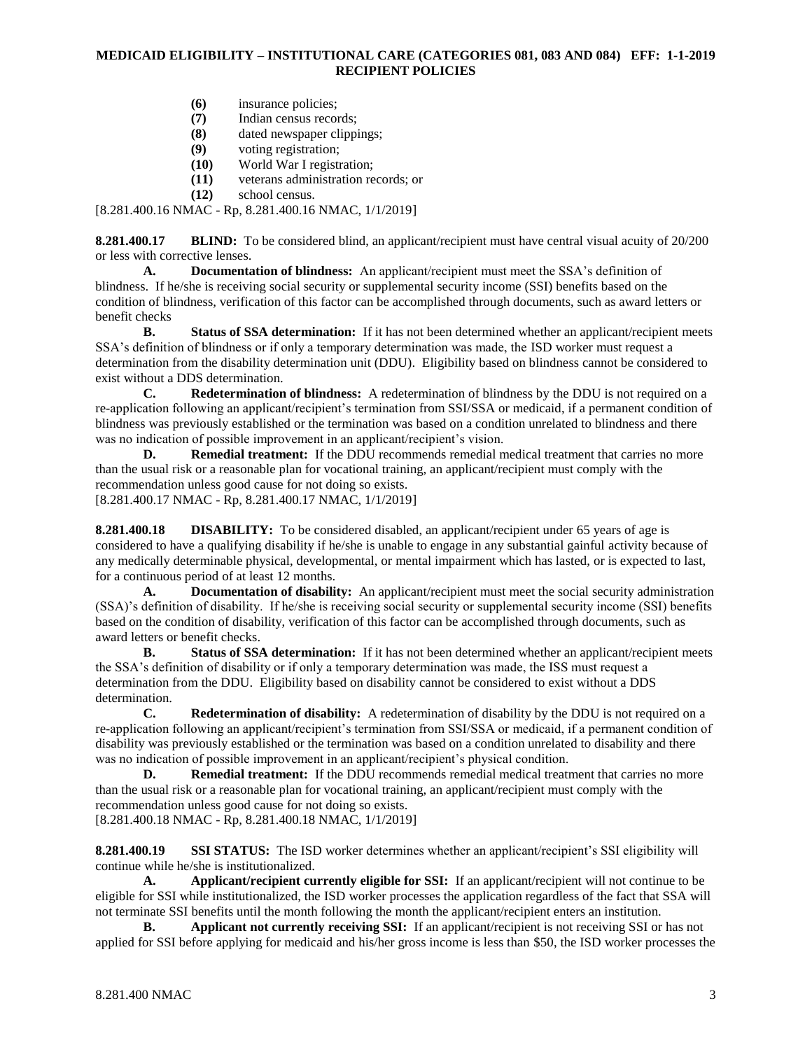- **(6)** insurance policies;
- **(7)** Indian census records;
- **(8)** dated newspaper clippings;
- **(9)** voting registration;
- **(10)** World War I registration;
- **(11)** veterans administration records; or
- **(12)** school census.

[8.281.400.16 NMAC - Rp, 8.281.400.16 NMAC, 1/1/2019]

<span id="page-3-0"></span>**8.281.400.17 BLIND:** To be considered blind, an applicant/recipient must have central visual acuity of 20/200 or less with corrective lenses.

**A. Documentation of blindness:** An applicant/recipient must meet the SSA's definition of blindness. If he/she is receiving social security or supplemental security income (SSI) benefits based on the condition of blindness, verification of this factor can be accomplished through documents, such as award letters or benefit checks

**B. Status of SSA determination:** If it has not been determined whether an applicant/recipient meets SSA's definition of blindness or if only a temporary determination was made, the ISD worker must request a determination from the disability determination unit (DDU). Eligibility based on blindness cannot be considered to exist without a DDS determination.

**C. Redetermination of blindness:** A redetermination of blindness by the DDU is not required on a re-application following an applicant/recipient's termination from SSI/SSA or medicaid, if a permanent condition of blindness was previously established or the termination was based on a condition unrelated to blindness and there was no indication of possible improvement in an applicant/recipient's vision.

**D. Remedial treatment:** If the DDU recommends remedial medical treatment that carries no more than the usual risk or a reasonable plan for vocational training, an applicant/recipient must comply with the recommendation unless good cause for not doing so exists. [8.281.400.17 NMAC - Rp, 8.281.400.17 NMAC, 1/1/2019]

<span id="page-3-1"></span>**8.281.400.18 DISABILITY:** To be considered disabled, an applicant/recipient under 65 years of age is considered to have a qualifying disability if he/she is unable to engage in any substantial gainful activity because of any medically determinable physical, developmental, or mental impairment which has lasted, or is expected to last, for a continuous period of at least 12 months.

**A. Documentation of disability:** An applicant/recipient must meet the social security administration (SSA)'s definition of disability. If he/she is receiving social security or supplemental security income (SSI) benefits based on the condition of disability, verification of this factor can be accomplished through documents, such as award letters or benefit checks.

**B. Status of SSA determination:** If it has not been determined whether an applicant/recipient meets the SSA's definition of disability or if only a temporary determination was made, the ISS must request a determination from the DDU. Eligibility based on disability cannot be considered to exist without a DDS determination.

**C. Redetermination of disability:** A redetermination of disability by the DDU is not required on a re-application following an applicant/recipient's termination from SSI/SSA or medicaid, if a permanent condition of disability was previously established or the termination was based on a condition unrelated to disability and there was no indication of possible improvement in an applicant/recipient's physical condition.

**D. Remedial treatment:** If the DDU recommends remedial medical treatment that carries no more than the usual risk or a reasonable plan for vocational training, an applicant/recipient must comply with the recommendation unless good cause for not doing so exists. [8.281.400.18 NMAC - Rp, 8.281.400.18 NMAC, 1/1/2019]

<span id="page-3-2"></span>**8.281.400.19 SSI STATUS:** The ISD worker determines whether an applicant/recipient's SSI eligibility will continue while he/she is institutionalized.

**A. Applicant/recipient currently eligible for SSI:** If an applicant/recipient will not continue to be eligible for SSI while institutionalized, the ISD worker processes the application regardless of the fact that SSA will not terminate SSI benefits until the month following the month the applicant/recipient enters an institution.

**B. Applicant not currently receiving SSI:** If an applicant/recipient is not receiving SSI or has not applied for SSI before applying for medicaid and his/her gross income is less than \$50, the ISD worker processes the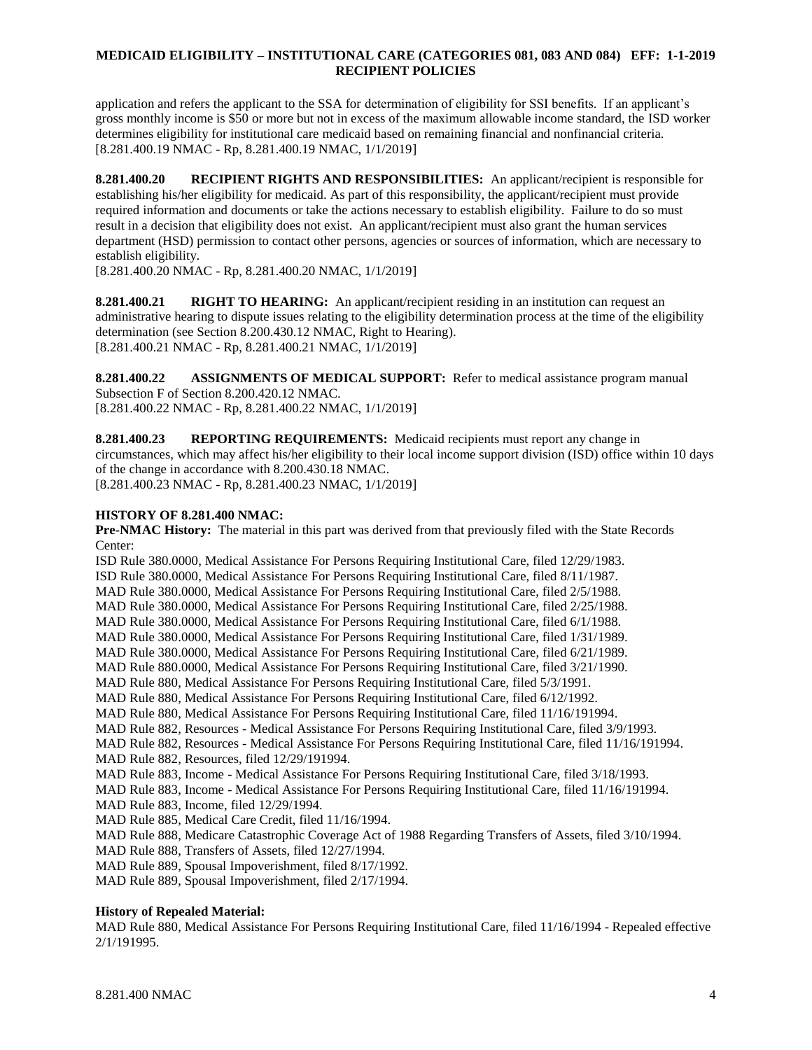application and refers the applicant to the SSA for determination of eligibility for SSI benefits. If an applicant's gross monthly income is \$50 or more but not in excess of the maximum allowable income standard, the ISD worker determines eligibility for institutional care medicaid based on remaining financial and nonfinancial criteria. [8.281.400.19 NMAC - Rp, 8.281.400.19 NMAC, 1/1/2019]

<span id="page-4-0"></span>**8.281.400.20 RECIPIENT RIGHTS AND RESPONSIBILITIES:** An applicant/recipient is responsible for establishing his/her eligibility for medicaid. As part of this responsibility, the applicant/recipient must provide required information and documents or take the actions necessary to establish eligibility. Failure to do so must result in a decision that eligibility does not exist. An applicant/recipient must also grant the human services department (HSD) permission to contact other persons, agencies or sources of information, which are necessary to establish eligibility.

[8.281.400.20 NMAC - Rp, 8.281.400.20 NMAC, 1/1/2019]

<span id="page-4-1"></span>**8.281.400.21 RIGHT TO HEARING:** An applicant/recipient residing in an institution can request an administrative hearing to dispute issues relating to the eligibility determination process at the time of the eligibility determination (see Section 8.200.430.12 NMAC, Right to Hearing). [8.281.400.21 NMAC - Rp, 8.281.400.21 NMAC, 1/1/2019]

<span id="page-4-2"></span>**8.281.400.22 ASSIGNMENTS OF MEDICAL SUPPORT:** Refer to medical assistance program manual Subsection F of Section 8.200.420.12 NMAC. [8.281.400.22 NMAC - Rp, 8.281.400.22 NMAC, 1/1/2019]

<span id="page-4-3"></span>**8.281.400.23 REPORTING REQUIREMENTS:** Medicaid recipients must report any change in circumstances, which may affect his/her eligibility to their local income support division (ISD) office within 10 days of the change in accordance with 8.200.430.18 NMAC. [8.281.400.23 NMAC - Rp, 8.281.400.23 NMAC, 1/1/2019]

## **HISTORY OF 8.281.400 NMAC:**

**Pre-NMAC History:** The material in this part was derived from that previously filed with the State Records Center:

ISD Rule 380.0000, Medical Assistance For Persons Requiring Institutional Care, filed 12/29/1983. ISD Rule 380.0000, Medical Assistance For Persons Requiring Institutional Care, filed 8/11/1987. MAD Rule 380.0000, Medical Assistance For Persons Requiring Institutional Care, filed 2/5/1988. MAD Rule 380.0000, Medical Assistance For Persons Requiring Institutional Care, filed 2/25/1988. MAD Rule 380.0000, Medical Assistance For Persons Requiring Institutional Care, filed 6/1/1988. MAD Rule 380.0000, Medical Assistance For Persons Requiring Institutional Care, filed 1/31/1989. MAD Rule 380.0000, Medical Assistance For Persons Requiring Institutional Care, filed 6/21/1989. MAD Rule 880.0000, Medical Assistance For Persons Requiring Institutional Care, filed 3/21/1990. MAD Rule 880, Medical Assistance For Persons Requiring Institutional Care, filed 5/3/1991. MAD Rule 880, Medical Assistance For Persons Requiring Institutional Care, filed 6/12/1992. MAD Rule 880, Medical Assistance For Persons Requiring Institutional Care, filed 11/16/191994. MAD Rule 882, Resources - Medical Assistance For Persons Requiring Institutional Care, filed 3/9/1993. MAD Rule 882, Resources - Medical Assistance For Persons Requiring Institutional Care, filed 11/16/191994. MAD Rule 882, Resources, filed 12/29/191994. MAD Rule 883, Income - Medical Assistance For Persons Requiring Institutional Care, filed 3/18/1993. MAD Rule 883, Income - Medical Assistance For Persons Requiring Institutional Care, filed 11/16/191994. MAD Rule 883, Income, filed 12/29/1994. MAD Rule 885, Medical Care Credit, filed 11/16/1994. MAD Rule 888, Medicare Catastrophic Coverage Act of 1988 Regarding Transfers of Assets, filed 3/10/1994. MAD Rule 888, Transfers of Assets, filed 12/27/1994. MAD Rule 889, Spousal Impoverishment, filed 8/17/1992.

MAD Rule 889, Spousal Impoverishment, filed 2/17/1994.

#### **History of Repealed Material:**

MAD Rule 880, Medical Assistance For Persons Requiring Institutional Care, filed 11/16/1994 - Repealed effective 2/1/191995.